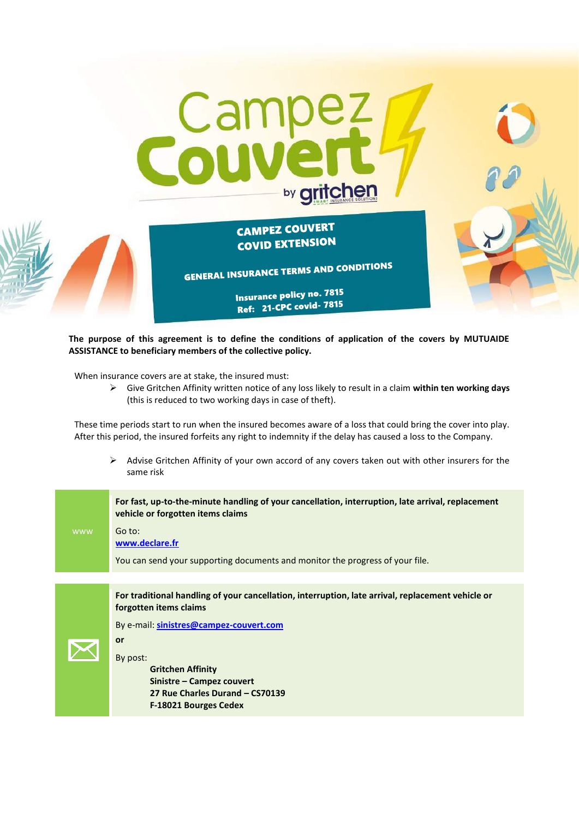

# **CAMPEZ COUVERT** COVID EXTENSION

**GENERAL INSURANCE TERMS AND CONDITIONS** 

Insurance policy no. 7815 Ref: 21-CPC covid-7815

**The purpose of this agreement is to define the conditions of application of the covers by MUTUAIDE ASSISTANCE to beneficiary members of the collective policy.**

When insurance covers are at stake, the insured must:

 Give Gritchen Affinity written notice of any loss likely to result in a claim **within ten working days** (this is reduced to two working days in case of theft).

These time periods start to run when the insured becomes aware of a loss that could bring the cover into play. After this period, the insured forfeits any right to indemnity if the delay has caused a loss to the Company.

 $\triangleright$  Advise Gritchen Affinity of your own accord of any covers taken out with other insurers for the same risk

|            | For fast, up-to-the-minute handling of your cancellation, interruption, late arrival, replacement<br>vehicle or forgotten items claims |
|------------|----------------------------------------------------------------------------------------------------------------------------------------|
| <b>WWW</b> | Go to:<br>www.declare.fr                                                                                                               |
|            | You can send your supporting documents and monitor the progress of your file.                                                          |
|            |                                                                                                                                        |
|            | For traditional handling of your cancellation, interruption, late arrival, replacement vehicle or<br>forgotten items claims            |
|            | By e-mail: sinistres@campez-couvert.com                                                                                                |
|            | or                                                                                                                                     |
|            | By post:<br><b>Gritchen Affinity</b><br>Sinistre - Campez couvert<br>27 Rue Charles Durand - CS70139<br>F-18021 Bourges Cedex          |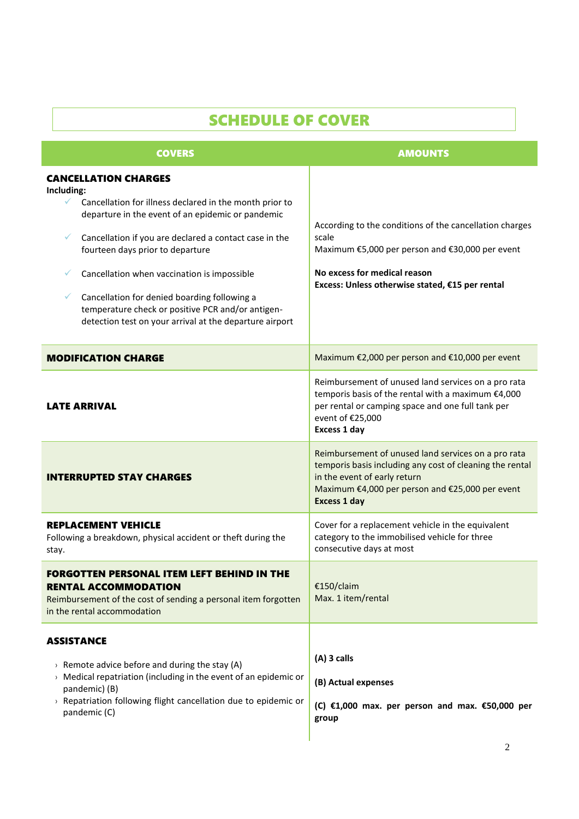| <b>SCHEDULE OF COVER</b>                                                                                                                                                                                                                                                                                                                                                                                                                                                                         |                                                                                                                                                                                                                           |  |  |
|--------------------------------------------------------------------------------------------------------------------------------------------------------------------------------------------------------------------------------------------------------------------------------------------------------------------------------------------------------------------------------------------------------------------------------------------------------------------------------------------------|---------------------------------------------------------------------------------------------------------------------------------------------------------------------------------------------------------------------------|--|--|
| <b>COVERS</b>                                                                                                                                                                                                                                                                                                                                                                                                                                                                                    | <b>AMOUNTS</b>                                                                                                                                                                                                            |  |  |
| <b>CANCELLATION CHARGES</b><br>Including:<br>$\checkmark$<br>Cancellation for illness declared in the month prior to<br>departure in the event of an epidemic or pandemic<br>Cancellation if you are declared a contact case in the<br>✓<br>fourteen days prior to departure<br>Cancellation when vaccination is impossible<br>Cancellation for denied boarding following a<br>✓<br>temperature check or positive PCR and/or antigen-<br>detection test on your arrival at the departure airport | According to the conditions of the cancellation charges<br>scale<br>Maximum €5,000 per person and €30,000 per event<br>No excess for medical reason<br>Excess: Unless otherwise stated, €15 per rental                    |  |  |
| <b>MODIFICATION CHARGE</b>                                                                                                                                                                                                                                                                                                                                                                                                                                                                       | Maximum €2,000 per person and €10,000 per event                                                                                                                                                                           |  |  |
| <b>LATE ARRIVAL</b>                                                                                                                                                                                                                                                                                                                                                                                                                                                                              | Reimbursement of unused land services on a pro rata<br>temporis basis of the rental with a maximum €4,000<br>per rental or camping space and one full tank per<br>event of €25,000<br><b>Excess 1 day</b>                 |  |  |
| <b>INTERRUPTED STAY CHARGES</b>                                                                                                                                                                                                                                                                                                                                                                                                                                                                  | Reimbursement of unused land services on a pro rata<br>temporis basis including any cost of cleaning the rental<br>in the event of early return<br>Maximum €4,000 per person and €25,000 per event<br><b>Excess 1 day</b> |  |  |
| <b>REPLACEMENT VEHICLE</b><br>Following a breakdown, physical accident or theft during the<br>stay.                                                                                                                                                                                                                                                                                                                                                                                              | Cover for a replacement vehicle in the equivalent<br>category to the immobilised vehicle for three<br>consecutive days at most                                                                                            |  |  |
| <b>FORGOTTEN PERSONAL ITEM LEFT BEHIND IN THE</b><br><b>RENTAL ACCOMMODATION</b><br>Reimbursement of the cost of sending a personal item forgotten<br>in the rental accommodation                                                                                                                                                                                                                                                                                                                | €150/claim<br>Max. 1 item/rental                                                                                                                                                                                          |  |  |
| <b>ASSISTANCE</b><br>$\rightarrow$ Remote advice before and during the stay (A)<br>$\rightarrow$ Medical repatriation (including in the event of an epidemic or<br>pandemic) (B)<br>$\rightarrow$ Repatriation following flight cancellation due to epidemic or<br>pandemic (C)                                                                                                                                                                                                                  | $(A)$ 3 calls<br>(B) Actual expenses<br>(C) $\epsilon$ 1,000 max. per person and max. $\epsilon$ 50,000 per<br>group                                                                                                      |  |  |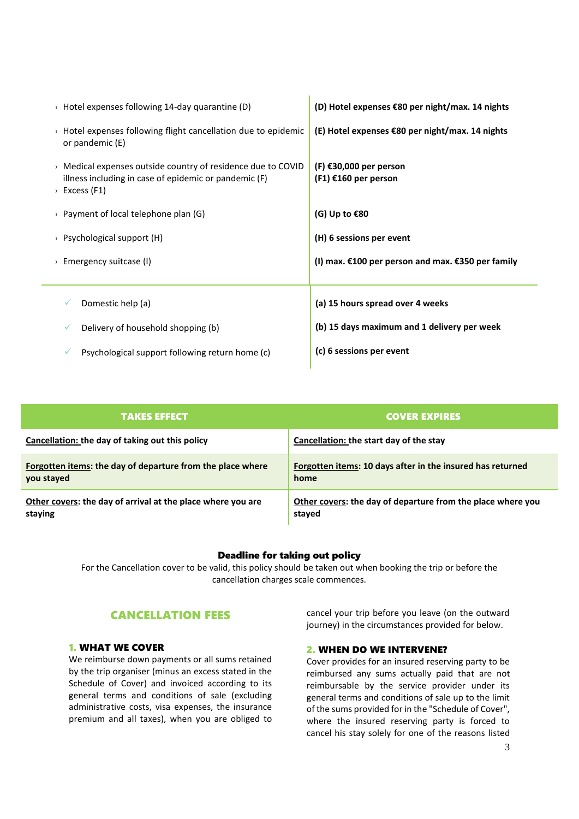| $\rightarrow$ Hotel expenses following 14-day quarantine (D)                                                                                                   | (D) Hotel expenses $\epsilon$ 80 per night/max. 14 nights |
|----------------------------------------------------------------------------------------------------------------------------------------------------------------|-----------------------------------------------------------|
| $\rightarrow$ Hotel expenses following flight cancellation due to epidemic<br>or pandemic (E)                                                                  | (E) Hotel expenses $\epsilon$ 80 per night/max. 14 nights |
| $\rightarrow$ Medical expenses outside country of residence due to COVID<br>illness including in case of epidemic or pandemic (F)<br>$\rightarrow$ Excess (F1) | $(F)$ $E30,000$ per person<br>$(F1) \in 160$ per person   |
| > Payment of local telephone plan $(G)$                                                                                                                        | (G) Up to $\epsilon$ 80                                   |
| > Psychological support $(H)$                                                                                                                                  | (H) 6 sessions per event                                  |
| $\rightarrow$ Emergency suitcase (I)                                                                                                                           | (I) max. €100 per person and max. €350 per family         |
| Domestic help (a)                                                                                                                                              | (a) 15 hours spread over 4 weeks                          |
| Delivery of household shopping (b)                                                                                                                             | (b) 15 days maximum and 1 delivery per week               |
| Psychological support following return home (c)                                                                                                                | (c) 6 sessions per event                                  |

| <b>TAKES EFFECT</b>                                               | <b>COVER EXPIRES</b>                                              |
|-------------------------------------------------------------------|-------------------------------------------------------------------|
| Cancellation: the day of taking out this policy                   | Cancellation: the start day of the stay                           |
| <b>Forgotten items: the day of departure from the place where</b> | <b>Forgotten items: 10 days after in the insured has returned</b> |
| you stayed                                                        | home                                                              |
| Other covers: the day of arrival at the place where you are       | Other covers: the day of departure from the place where you       |
| staying                                                           | stayed                                                            |

# Deadline for taking out policy

For the Cancellation cover to be valid, this policy should be taken out when booking the trip or before the cancellation charges scale commences.

# CANCELLATION FEES

# 1. WHAT WE COVER

We reimburse down payments or all sums retained by the trip organiser (minus an excess stated in the Schedule of Cover) and invoiced according to its general terms and conditions of sale (excluding administrative costs, visa expenses, the insurance premium and all taxes), when you are obliged to

cancel your trip before you leave (on the outward journey) in the circumstances provided for below.

# 2. WHEN DO WE INTERVENE?

Cover provides for an insured reserving party to be reimbursed any sums actually paid that are not reimbursable by the service provider under its general terms and conditions of sale up to the limit of the sums provided for in the "Schedule of Cover", where the insured reserving party is forced to cancel his stay solely for one of the reasons listed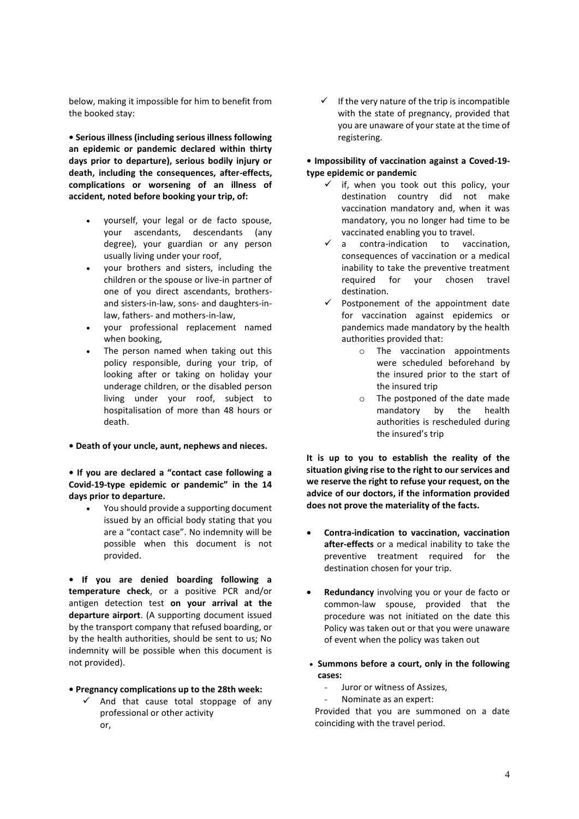below, making it impossible for him to benefit from the booked stay:

**• Serious illness (including serious illness following an epidemic or pandemic declared within thirty days prior to departure), serious bodily injury or death, including the consequences, after-effects, complications or worsening of an illness of accident, noted before booking your trip, of:**

- yourself, your legal or de facto spouse, your ascendants, descendants (any degree), your guardian or any person usually living under your roof,
- your brothers and sisters, including the children or the spouse or live-in partner of one of you direct ascendants, brothersand sisters-in-law, sons- and daughters-inlaw, fathers- and mothers-in-law,
- your professional replacement named when booking,
- The person named when taking out this policy responsible, during your trip, of looking after or taking on holiday your underage children, or the disabled person living under your roof, subject to hospitalisation of more than 48 hours or death.

# **• Death of your uncle, aunt, nephews and nieces.**

**• If you are declared a "contact case following a Covid-19-type epidemic or pandemic" in the 14 days prior to departure.** 

 You should provide a supporting document issued by an official body stating that you are a "contact case". No indemnity will be possible when this document is not provided.

**• If you are denied boarding following a temperature check**, or a positive PCR and/or antigen detection test **on your arrival at the departure airport**. (A supporting document issued by the transport company that refused boarding, or by the health authorities, should be sent to us; No indemnity will be possible when this document is not provided).

#### **• Pregnancy complications up to the 28th week:**

 $\checkmark$  And that cause total stoppage of any professional or other activity or,

 $\checkmark$  If the very nature of the trip is incompatible with the state of pregnancy, provided that you are unaware of your state at the time of registering.

# **• Impossibility of vaccination against a Coved-19 type epidemic or pandemic**

- $\checkmark$  if, when you took out this policy, your destination country did not make vaccination mandatory and, when it was mandatory, you no longer had time to be vaccinated enabling you to travel.<br>  $\checkmark$  a contra-indication to vac
- a contra-indication to vaccination, consequences of vaccination or a medical inability to take the preventive treatment required for your chosen travel destination.
- $\checkmark$  Postponement of the appointment date for vaccination against epidemics or pandemics made mandatory by the health authorities provided that:
	- o The vaccination appointments were scheduled beforehand by the insured prior to the start of the insured trip
	- o The postponed of the date made mandatory by the health authorities is rescheduled during the insured's trip

**It is up to you to establish the reality of the situation giving rise to the right to our services and we reserve the right to refuse your request, on the advice of our doctors, if the information provided does not prove the materiality of the facts.**

- **Contra-indication to vaccination, vaccination after-effects** or a medical inability to take the preventive treatment required for the destination chosen for your trip.
- **Redundancy** involving you or your de facto or common-law spouse, provided that the procedure was not initiated on the date this Policy was taken out or that you were unaware of event when the policy was taken out
- **Summons before a court, only in the following cases:** 
	- Juror or witness of Assizes,
	- Nominate as an expert:

Provided that you are summoned on a date coinciding with the travel period.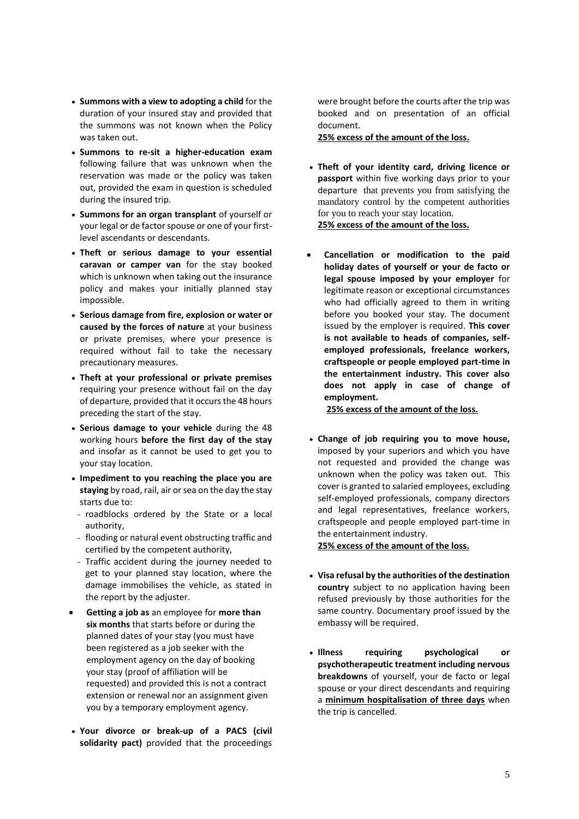- **Summons with a view to adopting a child** for the duration of your insured stay and provided that the summons was not known when the Policy was taken out.
- **Summons to re-sit a higher-education exam**  following failure that was unknown when the reservation was made or the policy was taken out, provided the exam in question is scheduled during the insured trip.
- **Summons for an organ transplant** of yourself or your legal or de factor spouse or one of your firstlevel ascendants or descendants.
- **Theft or serious damage to your essential caravan or camper van** for the stay booked which is unknown when taking out the insurance policy and makes your initially planned stay impossible.
- **Serious damage from fire, explosion or water or caused by the forces of nature** at your business or private premises, where your presence is required without fail to take the necessary precautionary measures.
- **Theft at your professional or private premises** requiring your presence without fail on the day of departure, provided that it occurs the 48 hours preceding the start of the stay.
- **Serious damage to your vehicle** during the 48 working hours **before the first day of the stay** and insofar as it cannot be used to get you to your stay location.
- **Impediment to you reaching the place you are staying** by road, rail, air or sea on the day the stay starts due to:
- roadblocks ordered by the State or a local authority,
- flooding or natural event obstructing traffic and certified by the competent authority,
- Traffic accident during the journey needed to get to your planned stay location, where the damage immobilises the vehicle, as stated in the report by the adjuster.
- **Getting a job as** an employee for **more than six months** that starts before or during the planned dates of your stay (you must have been registered as a job seeker with the employment agency on the day of booking your stay (proof of affiliation will be requested) and provided this is not a contract extension or renewal nor an assignment given you by a temporary employment agency.
- **Your divorce or break-up of a PACS (civil solidarity pact)** provided that the proceedings

were brought before the courts after the trip was booked and on presentation of an official document.

**25% excess of the amount of the loss.**

- **Theft of your identity card, driving licence or passport** within five working days prior to your departure that prevents you from satisfying the mandatory control by the competent authorities for you to reach your stay location. **25% excess of the amount of the loss.**
- **Cancellation or modification to the paid holiday dates of yourself or your de facto or legal spouse imposed by your employer** for legitimate reason or exceptional circumstances who had officially agreed to them in writing before you booked your stay. The document issued by the employer is required. **This cover is not available to heads of companies, selfemployed professionals, freelance workers, craftspeople or people employed part-time in the entertainment industry. This cover also does not apply in case of change of employment.**

 **25% excess of the amount of the loss.**

 **Change of job requiring you to move house,** imposed by your superiors and which you have not requested and provided the change was unknown when the policy was taken out. This cover is granted to salaried employees, excluding self-employed professionals, company directors and legal representatives, freelance workers, craftspeople and people employed part-time in the entertainment industry.

**25% excess of the amount of the loss.**

- **Visa refusal by the authorities of the destination country** subject to no application having been refused previously by those authorities for the same country. Documentary proof issued by the embassy will be required.
- **Illness requiring psychological or psychotherapeutic treatment including nervous breakdowns** of yourself, your de facto or legal spouse or your direct descendants and requiring a **minimum hospitalisation of three days** when the trip is cancelled.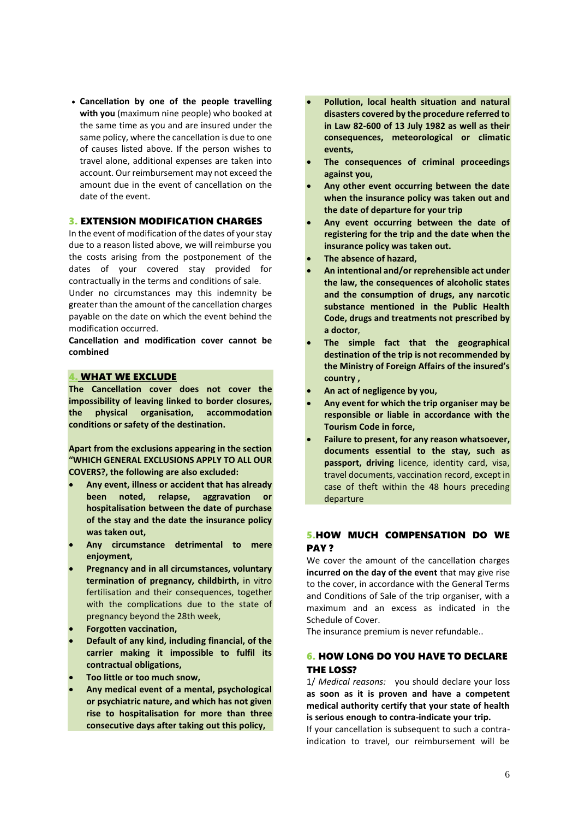**Cancellation by one of the people travelling with you** (maximum nine people) who booked at the same time as you and are insured under the same policy, where the cancellation is due to one of causes listed above. If the person wishes to travel alone, additional expenses are taken into account. Our reimbursement may not exceed the amount due in the event of cancellation on the date of the event.

# 3. EXTENSION MODIFICATION CHARGES

In the event of modification of the dates of your stay due to a reason listed above, we will reimburse you the costs arising from the postponement of the dates of your covered stay provided for contractually in the terms and conditions of sale.

Under no circumstances may this indemnity be greater than the amount of the cancellation charges payable on the date on which the event behind the modification occurred.

**Cancellation and modification cover cannot be combined** 

# 4. WHAT WE EXCLUDE

**The Cancellation cover does not cover the impossibility of leaving linked to border closures, the physical organisation, accommodation conditions or safety of the destination.**

**Apart from the exclusions appearing in the section "WHICH GENERAL EXCLUSIONS APPLY TO ALL OUR COVERS?, the following are also excluded:**

- **Any event, illness or accident that has already been noted, relapse, aggravation or hospitalisation between the date of purchase of the stay and the date the insurance policy was taken out,**
- **Any circumstance detrimental to mere enjoyment,**
- **Pregnancy and in all circumstances, voluntary termination of pregnancy, childbirth,** in vitro fertilisation and their consequences, together with the complications due to the state of pregnancy beyond the 28th week,
- **Forgotten vaccination,**
- **Default of any kind, including financial, of the carrier making it impossible to fulfil its contractual obligations,**
- **Too little or too much snow,**
- **Any medical event of a mental, psychological or psychiatric nature, and which has not given rise to hospitalisation for more than three consecutive days after taking out this policy,**
- **Pollution, local health situation and natural disasters covered by the procedure referred to in Law 82-600 of 13 July 1982 as well as their consequences, meteorological or climatic events,**
- **The consequences of criminal proceedings against you,**
- **Any other event occurring between the date when the insurance policy was taken out and the date of departure for your trip**
- **Any event occurring between the date of registering for the trip and the date when the insurance policy was taken out.**
- **The absence of hazard,**
- **An intentional and/or reprehensible act under the law, the consequences of alcoholic states and the consumption of drugs, any narcotic substance mentioned in the Public Health Code, drugs and treatments not prescribed by a doctor**,
- **The simple fact that the geographical destination of the trip is not recommended by the Ministry of Foreign Affairs of the insured's country ,**
- **An act of negligence by you,**
- **Any event for which the trip organiser may be responsible or liable in accordance with the Tourism Code in force,**
- **Failure to present, for any reason whatsoever, documents essential to the stay, such as passport, driving** licence, identity card, visa, travel documents, vaccination record, except in case of theft within the 48 hours preceding departure

# 5.HOW MUCH COMPENSATION DO WE PAY?

We cover the amount of the cancellation charges **incurred on the day of the event** that may give rise to the cover, in accordance with the General Terms and Conditions of Sale of the trip organiser, with a maximum and an excess as indicated in the Schedule of Cover.

The insurance premium is never refundable..

# 6. HOW LONG DO YOU HAVE TO DECLARE THE LOSS?

1/ *Medical reasons:* you should declare your loss **as soon as it is proven and have a competent medical authority certify that your state of health is serious enough to contra-indicate your trip.**

If your cancellation is subsequent to such a contraindication to travel, our reimbursement will be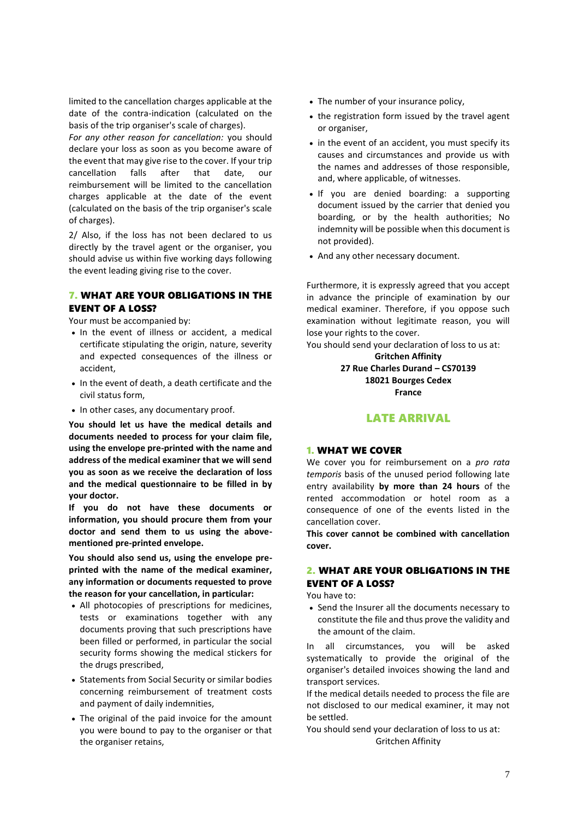limited to the cancellation charges applicable at the date of the contra-indication (calculated on the basis of the trip organiser's scale of charges).

*For any other reason for cancellation:* you should declare your loss as soon as you become aware of the event that may give rise to the cover. If your trip cancellation falls after that date, our reimbursement will be limited to the cancellation charges applicable at the date of the event (calculated on the basis of the trip organiser's scale of charges).

2/ Also, if the loss has not been declared to us directly by the travel agent or the organiser, you should advise us within five working days following the event leading giving rise to the cover.

# 7. WHAT ARE YOUR OBLIGATIONS IN THE EVENT OF A LOSS?

Your must be accompanied by:

- In the event of illness or accident, a medical certificate stipulating the origin, nature, severity and expected consequences of the illness or accident,
- In the event of death, a death certificate and the civil status form,
- In other cases, any documentary proof.

**You should let us have the medical details and documents needed to process for your claim file, using the envelope pre-printed with the name and address of the medical examiner that we will send you as soon as we receive the declaration of loss and the medical questionnaire to be filled in by your doctor.**

**If you do not have these documents or information, you should procure them from your doctor and send them to us using the abovementioned pre-printed envelope.**

**You should also send us, using the envelope preprinted with the name of the medical examiner, any information or documents requested to prove the reason for your cancellation, in particular:**

- All photocopies of prescriptions for medicines, tests or examinations together with any documents proving that such prescriptions have been filled or performed, in particular the social security forms showing the medical stickers for the drugs prescribed,
- Statements from Social Security or similar bodies concerning reimbursement of treatment costs and payment of daily indemnities,
- The original of the paid invoice for the amount you were bound to pay to the organiser or that the organiser retains,
- The number of your insurance policy,
- the registration form issued by the travel agent or organiser,
- in the event of an accident, you must specify its causes and circumstances and provide us with the names and addresses of those responsible, and, where applicable, of witnesses.
- If you are denied boarding: a supporting document issued by the carrier that denied you boarding, or by the health authorities; No indemnity will be possible when this document is not provided).
- And any other necessary document.

Furthermore, it is expressly agreed that you accept in advance the principle of examination by our medical examiner. Therefore, if you oppose such examination without legitimate reason, you will lose your rights to the cover.

You should send your declaration of loss to us at: **Gritchen Affinity**

> **27 Rue Charles Durand – CS70139 18021 Bourges Cedex France**

# LATE ARRIVAL

# 1. WHAT WE COVER

We cover you for reimbursement on a *pro rata temporis* basis of the unused period following late entry availability **by more than 24 hours** of the rented accommodation or hotel room as a consequence of one of the events listed in the cancellation cover.

**This cover cannot be combined with cancellation cover.**

# 2. WHAT ARE YOUR OBLIGATIONS IN THE EVENT OF A LOSS?

You have to:

• Send the Insurer all the documents necessary to constitute the file and thus prove the validity and the amount of the claim.

In all circumstances, you will be asked systematically to provide the original of the organiser's detailed invoices showing the land and transport services.

If the medical details needed to process the file are not disclosed to our medical examiner, it may not be settled.

You should send your declaration of loss to us at: Gritchen Affinity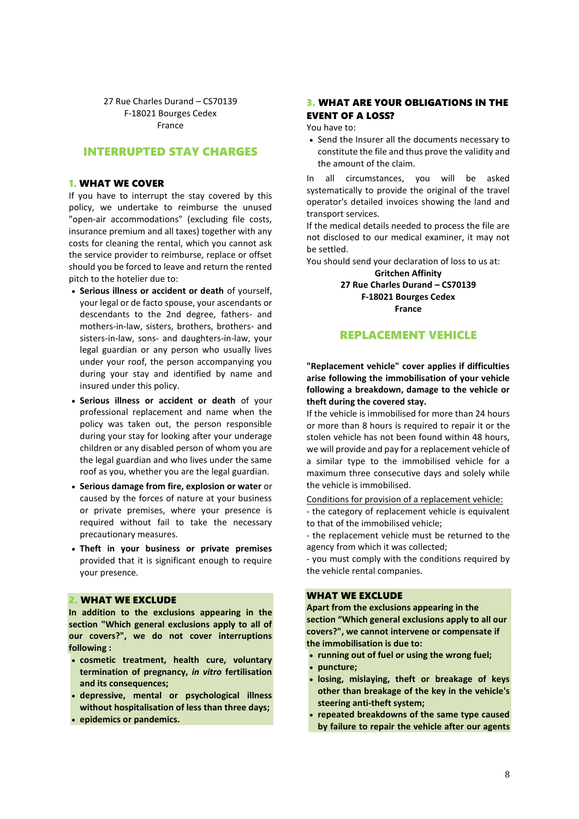27 Rue Charles Durand – CS70139 F-18021 Bourges Cedex France

# INTERRUPTED STAY CHARGES

#### 1. WHAT WE COVER

If you have to interrupt the stay covered by this policy, we undertake to reimburse the unused "open-air accommodations" (excluding file costs, insurance premium and all taxes) together with any costs for cleaning the rental, which you cannot ask the service provider to reimburse, replace or offset should you be forced to leave and return the rented pitch to the hotelier due to:

- **Serious illness or accident or death** of yourself, your legal or de facto spouse, your ascendants or descendants to the 2nd degree, fathers- and mothers-in-law, sisters, brothers, brothers- and sisters-in-law, sons- and daughters-in-law, your legal guardian or any person who usually lives under your roof, the person accompanying you during your stay and identified by name and insured under this policy.
- **Serious illness or accident or death** of your professional replacement and name when the policy was taken out, the person responsible during your stay for looking after your underage children or any disabled person of whom you are the legal guardian and who lives under the same roof as you, whether you are the legal guardian.
- **Serious damage from fire, explosion or water** or caused by the forces of nature at your business or private premises, where your presence is required without fail to take the necessary precautionary measures.
- **Theft in your business or private premises**  provided that it is significant enough to require your presence.

# 2. WHAT WE EXCLUDE

**In addition to the exclusions appearing in the section "Which general exclusions apply to all of our covers?", we do not cover interruptions following :**

- **cosmetic treatment, health cure, voluntary termination of pregnancy,** *in vitro* **fertilisation and its consequences;**
- **depressive, mental or psychological illness without hospitalisation of less than three days;**
- **epidemics or pandemics.**

# 3. WHAT ARE YOUR OBLIGATIONS IN THE EVENT OF A LOSS?

You have to:

• Send the Insurer all the documents necessary to constitute the file and thus prove the validity and the amount of the claim.

In all circumstances, you will be asked systematically to provide the original of the travel operator's detailed invoices showing the land and transport services.

If the medical details needed to process the file are not disclosed to our medical examiner, it may not be settled.

You should send your declaration of loss to us at:

**Gritchen Affinity 27 Rue Charles Durand – CS70139 F-18021 Bourges Cedex France**

# REPLACEMENT VEHICLE

**"Replacement vehicle" cover applies if difficulties arise following the immobilisation of your vehicle following a breakdown, damage to the vehicle or theft during the covered stay.** 

If the vehicle is immobilised for more than 24 hours or more than 8 hours is required to repair it or the stolen vehicle has not been found within 48 hours, we will provide and pay for a replacement vehicle of a similar type to the immobilised vehicle for a maximum three consecutive days and solely while the vehicle is immobilised.

Conditions for provision of a replacement vehicle:

- the category of replacement vehicle is equivalent to that of the immobilised vehicle;

- the replacement vehicle must be returned to the agency from which it was collected;

- you must comply with the conditions required by the vehicle rental companies.

# WHAT WE EXCLUDE

**Apart from the exclusions appearing in the section "Which general exclusions apply to all our covers?", we cannot intervene or compensate if the immobilisation is due to:**

- **running out of fuel or using the wrong fuel;**
- **puncture;**
- **losing, mislaying, theft or breakage of keys other than breakage of the key in the vehicle's steering anti-theft system;**
- **repeated breakdowns of the same type caused by failure to repair the vehicle after our agents**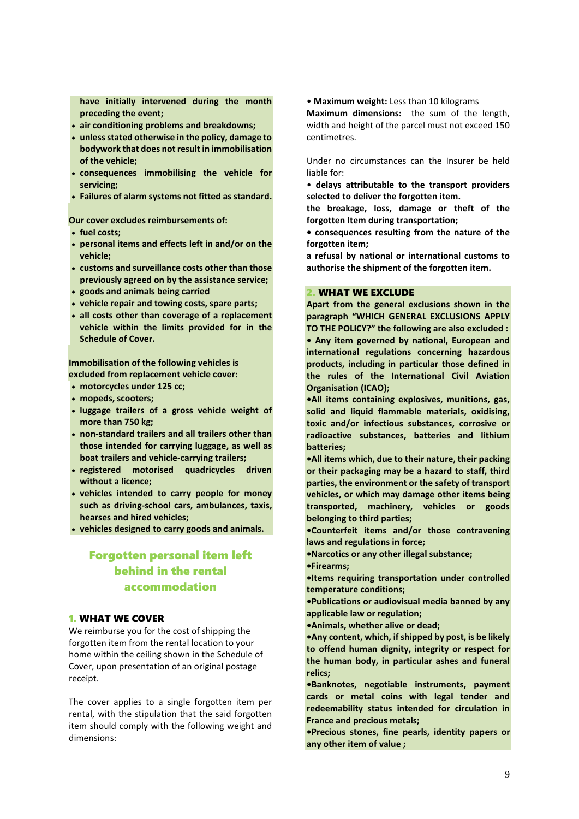**have initially intervened during the month preceding the event;**

- **air conditioning problems and breakdowns;**
- **unless stated otherwise in the policy, damage to bodywork that does not result in immobilisation of the vehicle;**
- **consequences immobilising the vehicle for servicing;**
- **Failures of alarm systems not fitted as standard.**

**Our cover excludes reimbursements of:**

- **fuel costs;**
- **personal items and effects left in and/or on the vehicle;**
- **customs and surveillance costs other than those previously agreed on by the assistance service;**
- **goods and animals being carried**
- **vehicle repair and towing costs, spare parts;**
- **all costs other than coverage of a replacement vehicle within the limits provided for in the Schedule of Cover.**

**Immobilisation of the following vehicles is excluded from replacement vehicle cover:**

- **motorcycles under 125 cc;**
- **mopeds, scooters;**
- **luggage trailers of a gross vehicle weight of more than 750 kg;**
- **non-standard trailers and all trailers other than those intended for carrying luggage, as well as boat trailers and vehicle-carrying trailers;**
- **registered motorised quadricycles driven without a licence;**
- **vehicles intended to carry people for money such as driving-school cars, ambulances, taxis, hearses and hired vehicles;**

**vehicles designed to carry goods and animals.**

# Forgotten personal item left behind in the rental accommodation

# 1. WHAT WE COVER

We reimburse you for the cost of shipping the forgotten item from the rental location to your home within the ceiling shown in the Schedule of Cover, upon presentation of an original postage receipt.

The cover applies to a single forgotten item per rental, with the stipulation that the said forgotten item should comply with the following weight and dimensions:

• **Maximum weight:** Less than 10 kilograms

**Maximum dimensions:** the sum of the length, width and height of the parcel must not exceed 150 centimetres.

Under no circumstances can the Insurer be held liable for:

• **delays attributable to the transport providers selected to deliver the forgotten item.**

**the breakage, loss, damage or theft of the forgotten Item during transportation;**

**• consequences resulting from the nature of the forgotten item;**

**a refusal by national or international customs to authorise the shipment of the forgotten item.**

# 2. WHAT WE EXCLUDE

**Apart from the general exclusions shown in the paragraph "WHICH GENERAL EXCLUSIONS APPLY TO THE POLICY?" the following are also excluded : • Any item governed by national, European and international regulations concerning hazardous products, including in particular those defined in the rules of the International Civil Aviation Organisation (ICAO);**

**•All items containing explosives, munitions, gas, solid and liquid flammable materials, oxidising, toxic and/or infectious substances, corrosive or radioactive substances, batteries and lithium batteries;**

**•All items which, due to their nature, their packing or their packaging may be a hazard to staff, third parties, the environment or the safety of transport vehicles, or which may damage other items being transported, machinery, vehicles or goods belonging to third parties;**

**•Counterfeit items and/or those contravening laws and regulations in force;**

**•Narcotics or any other illegal substance;**

**•Firearms;**

**•Items requiring transportation under controlled temperature conditions;**

**•Publications or audiovisual media banned by any applicable law or regulation;**

**•Animals, whether alive or dead;**

**•Any content, which, if shipped by post, is be likely to offend human dignity, integrity or respect for the human body, in particular ashes and funeral relics;**

**•Banknotes, negotiable instruments, payment cards or metal coins with legal tender and redeemability status intended for circulation in France and precious metals;**

**•Precious stones, fine pearls, identity papers or any other item of value ;**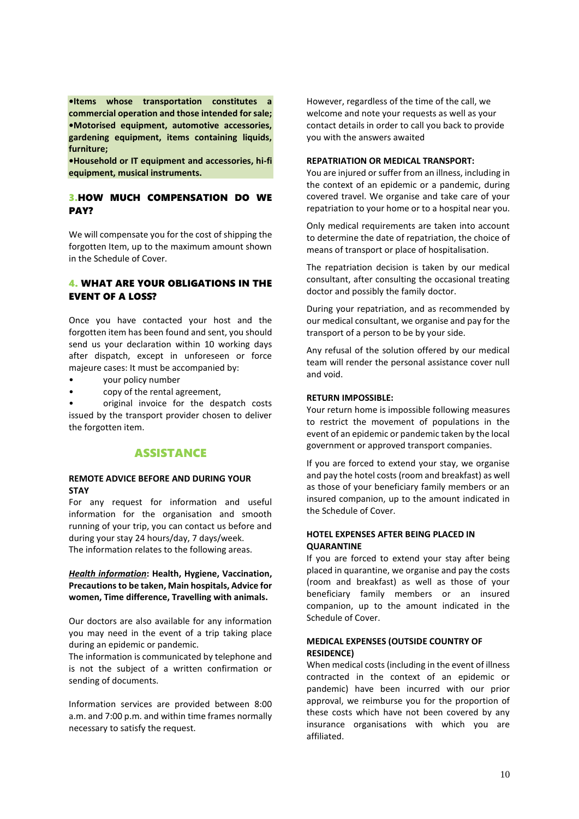**•Items whose transportation constitutes a commercial operation and those intended for sale; •Motorised equipment, automotive accessories, gardening equipment, items containing liquids, furniture;**

**•Household or IT equipment and accessories, hi-fi equipment, musical instruments.**

# 3.HOW MUCH COMPENSATION DO WE PAY?

We will compensate you for the cost of shipping the forgotten Item, up to the maximum amount shown in the Schedule of Cover.

# 4. WHAT ARE YOUR OBLIGATIONS IN THE EVENT OF A LOSS?

Once you have contacted your host and the forgotten item has been found and sent, you should send us your declaration within 10 working days after dispatch, except in unforeseen or force majeure cases: It must be accompanied by:

- your policy number
- copy of the rental agreement,

• original invoice for the despatch costs issued by the transport provider chosen to deliver the forgotten item.

# ASSISTANCE

# **REMOTE ADVICE BEFORE AND DURING YOUR STAY**

For any request for information and useful information for the organisation and smooth running of your trip, you can contact us before and during your stay 24 hours/day, 7 days/week. The information relates to the following areas.

# *Health information***: Health, Hygiene, Vaccination, Precautions to be taken, Main hospitals, Advice for women, Time difference, Travelling with animals.**

Our doctors are also available for any information you may need in the event of a trip taking place during an epidemic or pandemic.

The information is communicated by telephone and is not the subject of a written confirmation or sending of documents.

Information services are provided between 8:00 a.m. and 7:00 p.m. and within time frames normally necessary to satisfy the request.

However, regardless of the time of the call, we welcome and note your requests as well as your contact details in order to call you back to provide you with the answers awaited

#### **REPATRIATION OR MEDICAL TRANSPORT:**

You are injured or suffer from an illness, including in the context of an epidemic or a pandemic, during covered travel. We organise and take care of your repatriation to your home or to a hospital near you.

Only medical requirements are taken into account to determine the date of repatriation, the choice of means of transport or place of hospitalisation.

The repatriation decision is taken by our medical consultant, after consulting the occasional treating doctor and possibly the family doctor.

During your repatriation, and as recommended by our medical consultant, we organise and pay for the transport of a person to be by your side.

Any refusal of the solution offered by our medical team will render the personal assistance cover null and void.

# **RETURN IMPOSSIBLE:**

Your return home is impossible following measures to restrict the movement of populations in the event of an epidemic or pandemic taken by the local government or approved transport companies.

If you are forced to extend your stay, we organise and pay the hotel costs (room and breakfast) as well as those of your beneficiary family members or an insured companion, up to the amount indicated in the Schedule of Cover.

# **HOTEL EXPENSES AFTER BEING PLACED IN QUARANTINE**

If you are forced to extend your stay after being placed in quarantine, we organise and pay the costs (room and breakfast) as well as those of your beneficiary family members or an insured companion, up to the amount indicated in the Schedule of Cover.

# **MEDICAL EXPENSES (OUTSIDE COUNTRY OF RESIDENCE)**

When medical costs (including in the event of illness contracted in the context of an epidemic or pandemic) have been incurred with our prior approval, we reimburse you for the proportion of these costs which have not been covered by any insurance organisations with which you are affiliated.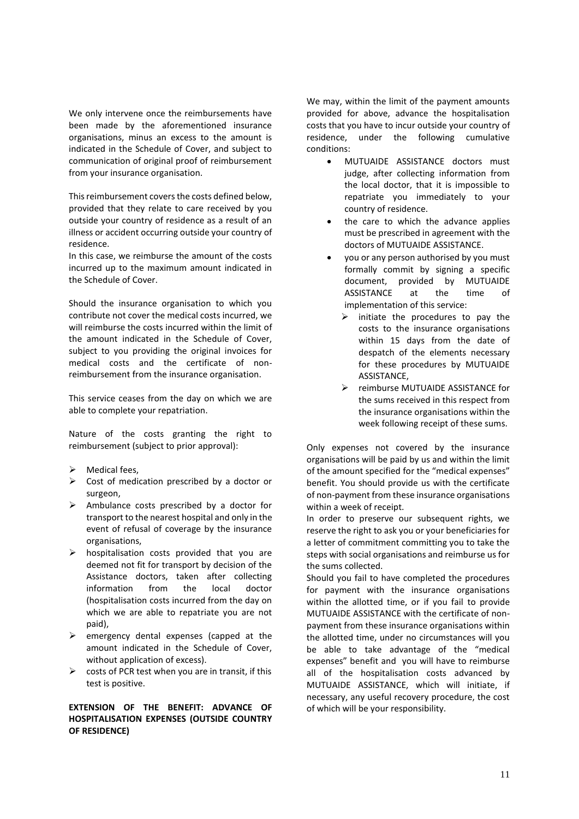We only intervene once the reimbursements have been made by the aforementioned insurance organisations, minus an excess to the amount is indicated in the Schedule of Cover, and subject to communication of original proof of reimbursement from your insurance organisation.

This reimbursement covers the costs defined below, provided that they relate to care received by you outside your country of residence as a result of an illness or accident occurring outside your country of residence.

In this case, we reimburse the amount of the costs incurred up to the maximum amount indicated in the Schedule of Cover.

Should the insurance organisation to which you contribute not cover the medical costs incurred, we will reimburse the costs incurred within the limit of the amount indicated in the Schedule of Cover, subject to you providing the original invoices for medical costs and the certificate of nonreimbursement from the insurance organisation.

This service ceases from the day on which we are able to complete your repatriation.

Nature of the costs granting the right to reimbursement (subject to prior approval):

- $\triangleright$  Medical fees,
- $\triangleright$  Cost of medication prescribed by a doctor or surgeon,
- $\triangleright$  Ambulance costs prescribed by a doctor for transport to the nearest hospital and only in the event of refusal of coverage by the insurance organisations,
- $\triangleright$  hospitalisation costs provided that you are deemed not fit for transport by decision of the Assistance doctors, taken after collecting information from the local doctor (hospitalisation costs incurred from the day on which we are able to repatriate you are not paid),
- $\triangleright$  emergency dental expenses (capped at the amount indicated in the Schedule of Cover, without application of excess).
- $\triangleright$  costs of PCR test when you are in transit, if this test is positive.

# **EXTENSION OF THE BENEFIT: ADVANCE OF HOSPITALISATION EXPENSES (OUTSIDE COUNTRY OF RESIDENCE)**

We may, within the limit of the payment amounts provided for above, advance the hospitalisation costs that you have to incur outside your country of residence, under the following cumulative conditions:

- MUTUAIDE ASSISTANCE doctors must judge, after collecting information from the local doctor, that it is impossible to repatriate you immediately to your country of residence.
- the care to which the advance applies must be prescribed in agreement with the doctors of MUTUAIDE ASSISTANCE.
- you or any person authorised by you must formally commit by signing a specific document, provided by MUTUAIDE ASSISTANCE at the time of implementation of this service:
	- $\triangleright$  initiate the procedures to pay the costs to the insurance organisations within 15 days from the date of despatch of the elements necessary for these procedures by MUTUAIDE ASSISTANCE,
	- $\triangleright$  reimburse MUTUAIDE ASSISTANCE for the sums received in this respect from the insurance organisations within the week following receipt of these sums.

Only expenses not covered by the insurance organisations will be paid by us and within the limit of the amount specified for the "medical expenses" benefit. You should provide us with the certificate of non-payment from these insurance organisations within a week of receipt.

In order to preserve our subsequent rights, we reserve the right to ask you or your beneficiaries for a letter of commitment committing you to take the steps with social organisations and reimburse us for the sums collected.

Should you fail to have completed the procedures for payment with the insurance organisations within the allotted time, or if you fail to provide MUTUAIDE ASSISTANCE with the certificate of nonpayment from these insurance organisations within the allotted time, under no circumstances will you be able to take advantage of the "medical expenses" benefit and you will have to reimburse all of the hospitalisation costs advanced by MUTUAIDE ASSISTANCE, which will initiate, if necessary, any useful recovery procedure, the cost of which will be your responsibility.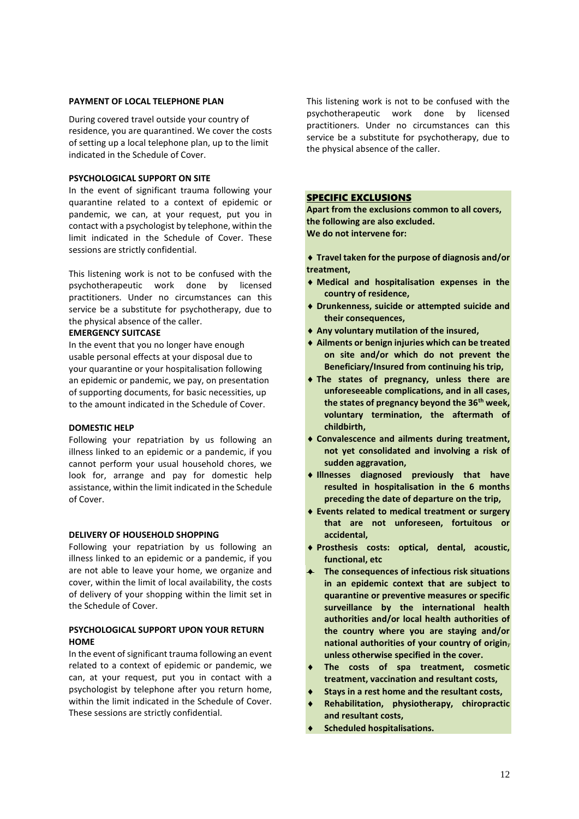## **PAYMENT OF LOCAL TELEPHONE PLAN**

During covered travel outside your country of residence, you are quarantined. We cover the costs of setting up a local telephone plan, up to the limit indicated in the Schedule of Cover.

# **PSYCHOLOGICAL SUPPORT ON SITE**

In the event of significant trauma following your quarantine related to a context of epidemic or pandemic, we can, at your request, put you in contact with a psychologist by telephone, within the limit indicated in the Schedule of Cover. These sessions are strictly confidential.

This listening work is not to be confused with the psychotherapeutic work done by licensed practitioners. Under no circumstances can this service be a substitute for psychotherapy, due to the physical absence of the caller.

#### **EMERGENCY SUITCASE**

In the event that you no longer have enough usable personal effects at your disposal due to your quarantine or your hospitalisation following an epidemic or pandemic, we pay, on presentation of supporting documents, for basic necessities, up to the amount indicated in the Schedule of Cover.

#### **DOMESTIC HELP**

Following your repatriation by us following an illness linked to an epidemic or a pandemic, if you cannot perform your usual household chores, we look for, arrange and pay for domestic help assistance, within the limit indicated in the Schedule of Cover.

#### **DELIVERY OF HOUSEHOLD SHOPPING**

Following your repatriation by us following an illness linked to an epidemic or a pandemic, if you are not able to leave your home, we organize and cover, within the limit of local availability, the costs of delivery of your shopping within the limit set in the Schedule of Cover.

# **PSYCHOLOGICAL SUPPORT UPON YOUR RETURN HOME**

In the event of significant trauma following an event related to a context of epidemic or pandemic, we can, at your request, put you in contact with a psychologist by telephone after you return home, within the limit indicated in the Schedule of Cover. These sessions are strictly confidential.

This listening work is not to be confused with the psychotherapeutic work done by licensed practitioners. Under no circumstances can this service be a substitute for psychotherapy, due to the physical absence of the caller.

# SPECIFIC EXCLUSIONS

**Apart from the exclusions common to all covers, the following are also excluded. We do not intervene for:**

- **Travel taken for the purpose of diagnosis and/or treatment,**
- **Medical and hospitalisation expenses in the country of residence,**
- **Drunkenness, suicide or attempted suicide and their consequences,**
- **Any voluntary mutilation of the insured,**
- **Ailments or benign injuries which can be treated on site and/or which do not prevent the Beneficiary/Insured from continuing his trip,**
- **The states of pregnancy, unless there are unforeseeable complications, and in all cases, the states of pregnancy beyond the 36th week, voluntary termination, the aftermath of childbirth,**
- **Convalescence and ailments during treatment, not yet consolidated and involving a risk of sudden aggravation,**
- **Illnesses diagnosed previously that have resulted in hospitalisation in the 6 months preceding the date of departure on the trip,**
- **Events related to medical treatment or surgery that are not unforeseen, fortuitous or accidental,**
- **Prosthesis costs: optical, dental, acoustic, functional, etc**
- **The consequences of infectious risk situations in an epidemic context that are subject to quarantine or preventive measures or specific surveillance by the international health authorities and/or local health authorities of the country where you are staying and/or national authorities of your country of origin**, **unless otherwise specified in the cover.**
- **The costs of spa treatment, cosmetic treatment, vaccination and resultant costs,**
- **Stays in a rest home and the resultant costs,**
- **Rehabilitation, physiotherapy, chiropractic and resultant costs,**
- **Scheduled hospitalisations.**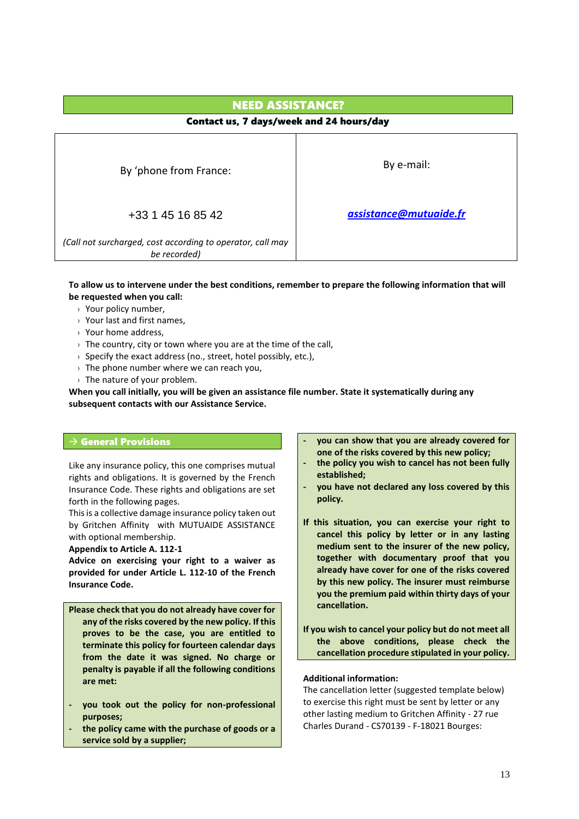# NEED ASSISTANCE? Contact us, 7 days/week and 24 hours/day By 'phone from France: Same Solid Report of the By e-mail: +33 1 45 16 85 42 *(Call not surcharged, cost according to operator, call may be recorded) [assistance@mutuaide.fr](mailto:assistance@mutuaide.fr)*

**To allow us to intervene under the best conditions, remember to prepare the following information that will be requested when you call:**

- $\rightarrow$  Your policy number.
- › Your last and first names,
- › Your home address,
- $\rightarrow$  The country, city or town where you are at the time of the call.
- $\rightarrow$  Specify the exact address (no., street, hotel possibly, etc.),
- $\rightarrow$  The phone number where we can reach you,
- $\rightarrow$  The nature of your problem.

**When you call initially, you will be given an assistance file number. State it systematically during any subsequent contacts with our Assistance Service.**

# $\rightarrow$  General Provisions

Like any insurance policy, this one comprises mutual rights and obligations. It is governed by the French Insurance Code. These rights and obligations are set forth in the following pages.

This is a collective damage insurance policy taken out by Gritchen Affinity with MUTUAIDE ASSISTANCE with optional membership.

**Appendix to Article A. 112-1**

**Advice on exercising your right to a waiver as provided for under Article L. 112-10 of the French Insurance Code.**

- **Please check that you do not already have cover for any of the risks covered by the new policy. If this proves to be the case, you are entitled to terminate this policy for fourteen calendar days from the date it was signed. No charge or penalty is payable if all the following conditions are met:**
- **- you took out the policy for non-professional purposes;**
- **- the policy came with the purchase of goods or a service sold by a supplier;**
- **- you can show that you are already covered for one of the risks covered by this new policy;**
- **- the policy you wish to cancel has not been fully established;**
- **- you have not declared any loss covered by this policy.**
- **If this situation, you can exercise your right to cancel this policy by letter or in any lasting medium sent to the insurer of the new policy, together with documentary proof that you already have cover for one of the risks covered by this new policy. The insurer must reimburse you the premium paid within thirty days of your cancellation.**
- **If you wish to cancel your policy but do not meet all the above conditions, please check the cancellation procedure stipulated in your policy.**

# **Additional information:**

The cancellation letter (suggested template below) to exercise this right must be sent by letter or any other lasting medium to Gritchen Affinity - 27 rue Charles Durand - CS70139 - F-18021 Bourges: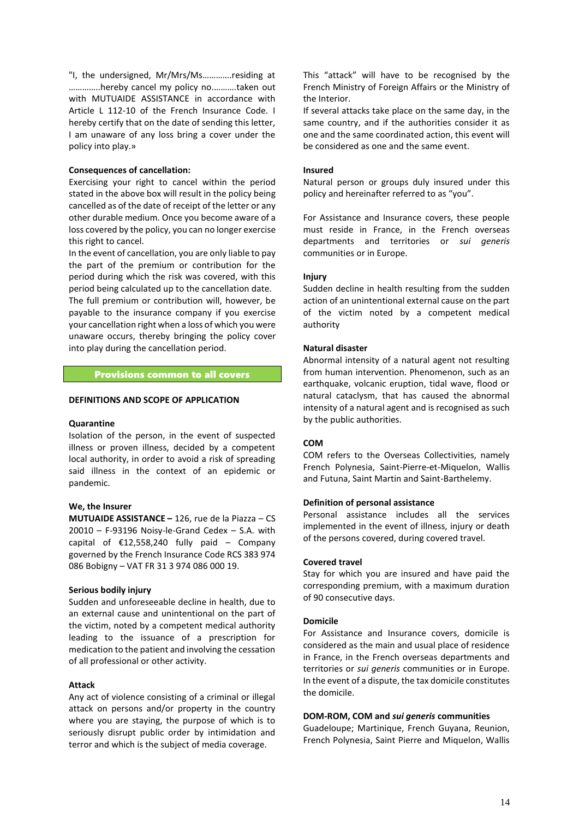"I, the undersigned, Mr/Mrs/Ms………….residing at …………..hereby cancel my policy no.……….taken out with MUTUAIDE ASSISTANCE in accordance with Article L 112-10 of the French Insurance Code. I hereby certify that on the date of sending this letter, I am unaware of any loss bring a cover under the policy into play.»

#### **Consequences of cancellation:**

Exercising your right to cancel within the period stated in the above box will result in the policy being cancelled as of the date of receipt of the letter or any other durable medium. Once you become aware of a loss covered by the policy, you can no longer exercise this right to cancel.

In the event of cancellation, you are only liable to pay the part of the premium or contribution for the period during which the risk was covered, with this period being calculated up to the cancellation date. The full premium or contribution will, however, be

payable to the insurance company if you exercise your cancellation right when a loss of which you were unaware occurs, thereby bringing the policy cover into play during the cancellation period.

#### Provisions common to all covers

#### **DEFINITIONS AND SCOPE OF APPLICATION**

#### **Quarantine**

Isolation of the person, in the event of suspected illness or proven illness, decided by a competent local authority, in order to avoid a risk of spreading said illness in the context of an epidemic or pandemic.

#### **We, the Insurer**

**MUTUAIDE ASSISTANCE –** 126, rue de la Piazza – CS 20010 – F-93196 Noisy-le-Grand Cedex – S.A. with capital of  $£12,558,240$  fully paid – Company governed by the French Insurance Code RCS 383 974 086 Bobigny – VAT FR 31 3 974 086 000 19.

#### **Serious bodily injury**

Sudden and unforeseeable decline in health, due to an external cause and unintentional on the part of the victim, noted by a competent medical authority leading to the issuance of a prescription for medication to the patient and involving the cessation of all professional or other activity.

# **Attack**

Any act of violence consisting of a criminal or illegal attack on persons and/or property in the country where you are staying, the purpose of which is to seriously disrupt public order by intimidation and terror and which is the subject of media coverage.

This "attack" will have to be recognised by the French Ministry of Foreign Affairs or the Ministry of the Interior.

If several attacks take place on the same day, in the same country, and if the authorities consider it as one and the same coordinated action, this event will be considered as one and the same event.

#### **Insured**

Natural person or groups duly insured under this policy and hereinafter referred to as "you".

For Assistance and Insurance covers, these people must reside in France, in the French overseas departments and territories or *sui generis* communities or in Europe.

#### **Injury**

Sudden decline in health resulting from the sudden action of an unintentional external cause on the part of the victim noted by a competent medical authority

#### **Natural disaster**

Abnormal intensity of a natural agent not resulting from human intervention. Phenomenon, such as an earthquake, volcanic eruption, tidal wave, flood or natural cataclysm, that has caused the abnormal intensity of a natural agent and is recognised as such by the public authorities.

# **COM**

COM refers to the Overseas Collectivities, namely French Polynesia, Saint-Pierre-et-Miquelon, Wallis and Futuna, Saint Martin and Saint-Barthelemy.

#### **Definition of personal assistance**

Personal assistance includes all the services implemented in the event of illness, injury or death of the persons covered, during covered travel.

#### **Covered travel**

Stay for which you are insured and have paid the corresponding premium, with a maximum duration of 90 consecutive days.

#### **Domicile**

For Assistance and Insurance covers, domicile is considered as the main and usual place of residence in France, in the French overseas departments and territories or *sui generis* communities or in Europe. In the event of a dispute, the tax domicile constitutes the domicile.

#### **DOM-ROM, COM and** *sui generis* **communities**

Guadeloupe; Martinique, French Guyana, Reunion, French Polynesia, Saint Pierre and Miquelon, Wallis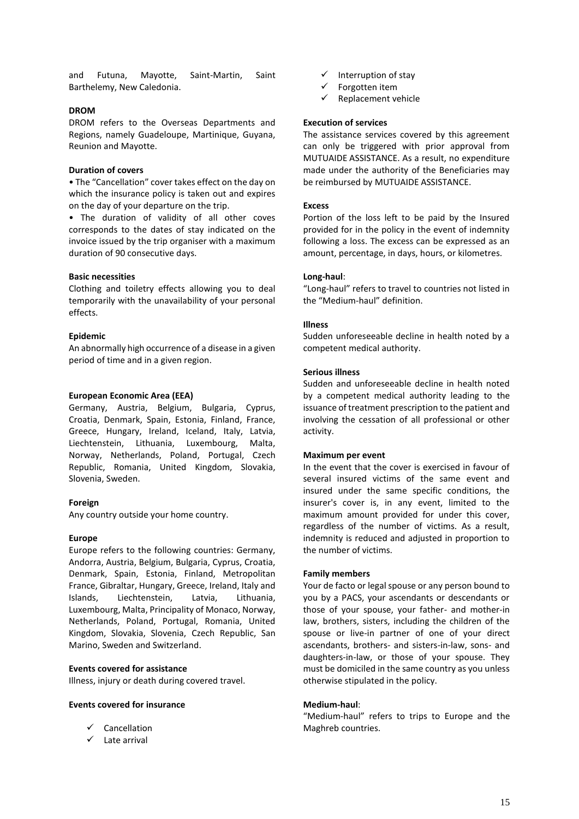and Futuna, Mayotte, Saint-Martin, Saint Barthelemy, New Caledonia.

# **DROM**

DROM refers to the Overseas Departments and Regions, namely Guadeloupe, Martinique, Guyana, Reunion and Mayotte.

#### **Duration of covers**

• The "Cancellation" cover takes effect on the day on which the insurance policy is taken out and expires on the day of your departure on the trip.

• The duration of validity of all other coves corresponds to the dates of stay indicated on the invoice issued by the trip organiser with a maximum duration of 90 consecutive days.

## **Basic necessities**

Clothing and toiletry effects allowing you to deal temporarily with the unavailability of your personal effects.

## **Epidemic**

An abnormally high occurrence of a disease in a given period of time and in a given region.

## **European Economic Area (EEA)**

Germany, Austria, Belgium, Bulgaria, Cyprus, Croatia, Denmark, Spain, Estonia, Finland, France, Greece, Hungary, Ireland, Iceland, Italy, Latvia, Liechtenstein, Lithuania, Luxembourg, Malta, Norway, Netherlands, Poland, Portugal, Czech Republic, Romania, United Kingdom, Slovakia, Slovenia, Sweden.

#### **Foreign**

Any country outside your home country.

#### **Europe**

Europe refers to the following countries: Germany, Andorra, Austria, Belgium, Bulgaria, Cyprus, Croatia, Denmark, Spain, Estonia, Finland, Metropolitan France, Gibraltar, Hungary, Greece, Ireland, Italy and Islands, Liechtenstein, Latvia, Lithuania, Luxembourg, Malta, Principality of Monaco, Norway, Netherlands, Poland, Portugal, Romania, United Kingdom, Slovakia, Slovenia, Czech Republic, San Marino, Sweden and Switzerland.

#### **Events covered for assistance**

Illness, injury or death during covered travel.

#### **Events covered for insurance**

- $\checkmark$  Cancellation
- $\checkmark$  Late arrival
- $\checkmark$  Interruption of stay
- $\checkmark$  Forgotten item
- $\checkmark$  Replacement vehicle

# **Execution of services**

The assistance services covered by this agreement can only be triggered with prior approval from MUTUAIDE ASSISTANCE. As a result, no expenditure made under the authority of the Beneficiaries may be reimbursed by MUTUAIDE ASSISTANCE.

## **Excess**

Portion of the loss left to be paid by the Insured provided for in the policy in the event of indemnity following a loss. The excess can be expressed as an amount, percentage, in days, hours, or kilometres.

## **Long-haul**:

"Long-haul" refers to travel to countries not listed in the "Medium-haul" definition.

## **Illness**

Sudden unforeseeable decline in health noted by a competent medical authority.

#### **Serious illness**

Sudden and unforeseeable decline in health noted by a competent medical authority leading to the issuance of treatment prescription to the patient and involving the cessation of all professional or other activity.

#### **Maximum per event**

In the event that the cover is exercised in favour of several insured victims of the same event and insured under the same specific conditions, the insurer's cover is, in any event, limited to the maximum amount provided for under this cover, regardless of the number of victims. As a result, indemnity is reduced and adjusted in proportion to the number of victims.

#### **Family members**

Your de facto or legal spouse or any person bound to you by a PACS, your ascendants or descendants or those of your spouse, your father- and mother-in law, brothers, sisters, including the children of the spouse or live-in partner of one of your direct ascendants, brothers- and sisters-in-law, sons- and daughters-in-law, or those of your spouse. They must be domiciled in the same country as you unless otherwise stipulated in the policy.

#### **Medium-haul**:

"Medium-haul" refers to trips to Europe and the Maghreb countries.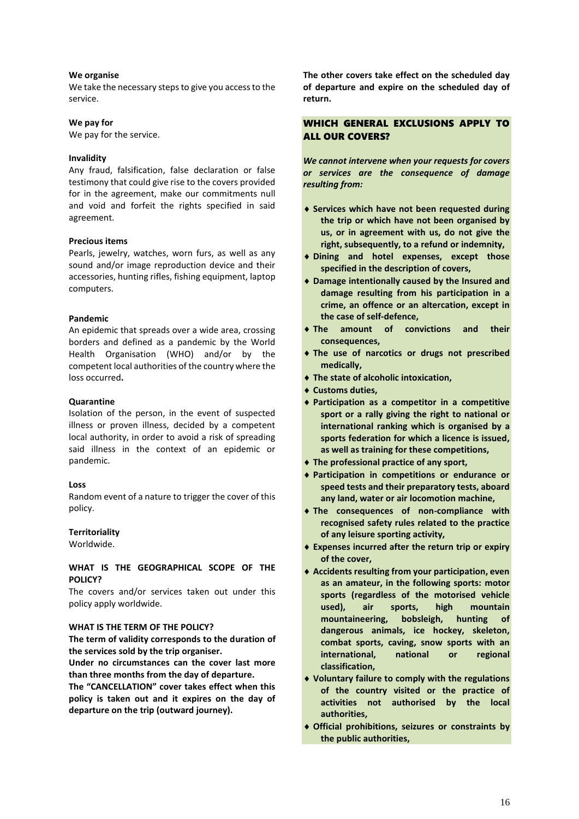# **We organise**

We take the necessary steps to give you access to the service.

## **We pay for**

We pay for the service.

#### **Invalidity**

Any fraud, falsification, false declaration or false testimony that could give rise to the covers provided for in the agreement, make our commitments null and void and forfeit the rights specified in said agreement.

## **Precious items**

Pearls, jewelry, watches, worn furs, as well as any sound and/or image reproduction device and their accessories, hunting rifles, fishing equipment, laptop computers.

## **Pandemic**

An epidemic that spreads over a wide area, crossing borders and defined as a pandemic by the World Health Organisation (WHO) and/or by the competent local authorities of the country where the loss occurred**.**

## **Quarantine**

Isolation of the person, in the event of suspected illness or proven illness, decided by a competent local authority, in order to avoid a risk of spreading said illness in the context of an epidemic or pandemic.

#### **Loss**

Random event of a nature to trigger the cover of this policy.

# **Territoriality**

Worldwide.

# **WHAT IS THE GEOGRAPHICAL SCOPE OF THE POLICY?**

The covers and/or services taken out under this policy apply worldwide.

#### **WHAT IS THE TERM OF THE POLICY?**

**The term of validity corresponds to the duration of the services sold by the trip organiser.**

**Under no circumstances can the cover last more than three months from the day of departure.**

**The "CANCELLATION" cover takes effect when this policy is taken out and it expires on the day of departure on the trip (outward journey).**

**The other covers take effect on the scheduled day of departure and expire on the scheduled day of return.**

# WHICH GENERAL EXCLUSIONS APPLY TO ALL OUR COVERS?

*We cannot intervene when your requests for covers or services are the consequence of damage resulting from:*

- **Services which have not been requested during the trip or which have not been organised by us, or in agreement with us, do not give the right, subsequently, to a refund or indemnity,**
- **Dining and hotel expenses, except those specified in the description of covers,**
- **Damage intentionally caused by the Insured and damage resulting from his participation in a crime, an offence or an altercation, except in the case of self-defence,**
- **The amount of convictions and their consequences,**
- **The use of narcotics or drugs not prescribed medically,**
- **The state of alcoholic intoxication,**
- **Customs duties,**
- **Participation as a competitor in a competitive sport or a rally giving the right to national or international ranking which is organised by a sports federation for which a licence is issued, as well as training for these competitions,**
- **The professional practice of any sport,**
- **Participation in competitions or endurance or speed tests and their preparatory tests, aboard any land, water or air locomotion machine,**
- **The consequences of non-compliance with recognised safety rules related to the practice of any leisure sporting activity,**
- **Expenses incurred after the return trip or expiry of the cover,**
- **Accidents resulting from your participation, even as an amateur, in the following sports: motor sports (regardless of the motorised vehicle used), air sports, high mountain mountaineering, bobsleigh, hunting of dangerous animals, ice hockey, skeleton, combat sports, caving, snow sports with an international, national or regional classification,**
- **Voluntary failure to comply with the regulations of the country visited or the practice of activities not authorised by the local authorities,**
- **Official prohibitions, seizures or constraints by the public authorities,**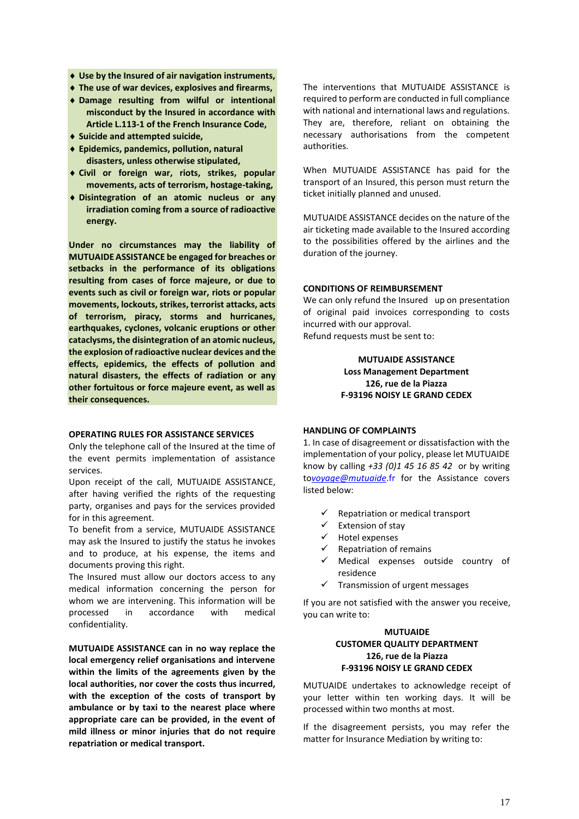- **Use by the Insured of air navigation instruments,**
- **The use of war devices, explosives and firearms,**
- **Damage resulting from wilful or intentional misconduct by the Insured in accordance with Article L.113-1 of the French Insurance Code,**
- **Suicide and attempted suicide,**
- **Epidemics, pandemics, pollution, natural disasters, unless otherwise stipulated,**
- **Civil or foreign war, riots, strikes, popular movements, acts of terrorism, hostage-taking,**
- **Disintegration of an atomic nucleus or any irradiation coming from a source of radioactive energy.**

**Under no circumstances may the liability of MUTUAIDE ASSISTANCE be engaged for breaches or setbacks in the performance of its obligations resulting from cases of force majeure, or due to events such as civil or foreign war, riots or popular movements, lockouts, strikes, terrorist attacks, acts of terrorism, piracy, storms and hurricanes, earthquakes, cyclones, volcanic eruptions or other cataclysms, the disintegration of an atomic nucleus, the explosion of radioactive nuclear devices and the effects, epidemics, the effects of pollution and natural disasters, the effects of radiation or any other fortuitous or force majeure event, as well as their consequences.**

#### **OPERATING RULES FOR ASSISTANCE SERVICES**

Only the telephone call of the Insured at the time of the event permits implementation of assistance services.

Upon receipt of the call, MUTUAIDE ASSISTANCE, after having verified the rights of the requesting party, organises and pays for the services provided for in this agreement.

To benefit from a service, MUTUAIDE ASSISTANCE may ask the Insured to justify the status he invokes and to produce, at his expense, the items and documents proving this right.

The Insured must allow our doctors access to any medical information concerning the person for whom we are intervening. This information will be processed in accordance with medical confidentiality.

**MUTUAIDE ASSISTANCE can in no way replace the local emergency relief organisations and intervene within the limits of the agreements given by the local authorities, nor cover the costs thus incurred, with the exception of the costs of transport by ambulance or by taxi to the nearest place where appropriate care can be provided, in the event of mild illness or minor injuries that do not require repatriation or medical transport.**

The interventions that MUTUAIDE ASSISTANCE is required to perform are conducted in full compliance with national and international laws and regulations. They are, therefore, reliant on obtaining the necessary authorisations from the competent authorities.

When MUTUAIDE ASSISTANCE has paid for the transport of an Insured, this person must return the ticket initially planned and unused.

MUTUAIDE ASSISTANCE decides on the nature of the air ticketing made available to the Insured according to the possibilities offered by the airlines and the duration of the journey.

## **CONDITIONS OF REIMBURSEMENT**

We can only refund the Insured up on presentation of original paid invoices corresponding to costs incurred with our approval. Refund requests must be sent to:

# **MUTUAIDE ASSISTANCE Loss Management Department 126, rue de la Piazza F-93196 NOISY LE GRAND CEDEX**

# **HANDLING OF COMPLAINTS**

1. In case of disagreement or dissatisfaction with the implementation of your policy, please let MUTUAIDE know by calling *+33 (0)1 45 16 85 42* or by writing to*[voyage@mutuaide](mailto:voyage@mutuaide.fr)*.fr for the Assistance covers listed below:

- $\checkmark$  Repatriation or medical transport
- $\checkmark$  Extension of stay
- $\checkmark$  Hotel expenses
- $\checkmark$  Repatriation of remains
- $\checkmark$  Medical expenses outside country of residence
- $\checkmark$  Transmission of urgent messages

If you are not satisfied with the answer you receive, you can write to:

# **MUTUAIDE CUSTOMER QUALITY DEPARTMENT 126, rue de la Piazza F-93196 NOISY LE GRAND CEDEX**

MUTUAIDE undertakes to acknowledge receipt of your letter within ten working days. It will be processed within two months at most.

If the disagreement persists, you may refer the matter for Insurance Mediation by writing to: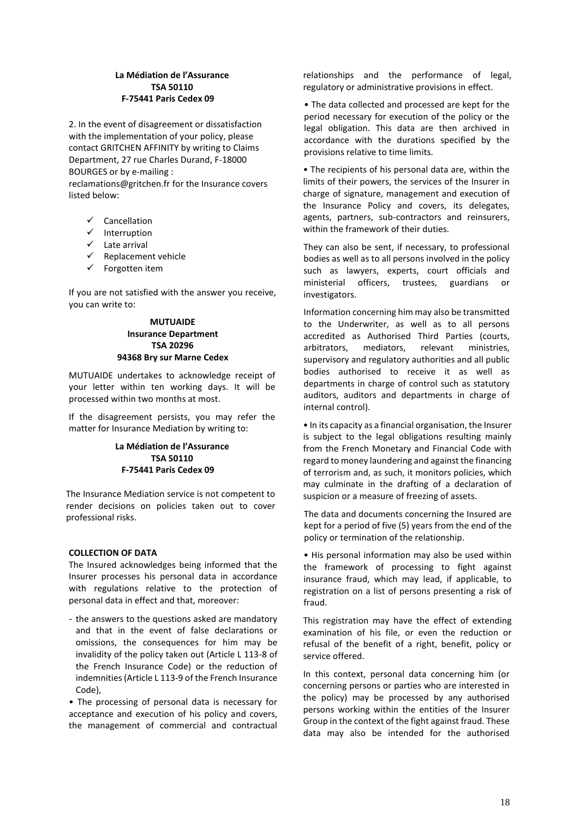# **La Médiation de l'Assurance TSA 50110 F-75441 Paris Cedex 09**

2. In the event of disagreement or dissatisfaction with the implementation of your policy, please contact GRITCHEN AFFINITY by writing to Claims Department, 27 rue Charles Durand, F-18000 BOURGES or by e-mailing : reclamations@gritchen.fr for the Insurance covers listed below:

- $\checkmark$  Cancellation
- $\checkmark$  Interruption
- $\checkmark$  Late arrival
- $\checkmark$  Replacement vehicle
- $\checkmark$  Forgotten item

If you are not satisfied with the answer you receive, you can write to:

# **MUTUAIDE Insurance Department TSA 20296 94368 Bry sur Marne Cedex**

MUTUAIDE undertakes to acknowledge receipt of your letter within ten working days. It will be processed within two months at most.

If the disagreement persists, you may refer the matter for Insurance Mediation by writing to:

# **La Médiation de l'Assurance TSA 50110 F-75441 Paris Cedex 09**

The Insurance Mediation service is not competent to render decisions on policies taken out to cover professional risks.

# **COLLECTION OF DATA**

The Insured acknowledges being informed that the Insurer processes his personal data in accordance with regulations relative to the protection of personal data in effect and that, moreover:

- the answers to the questions asked are mandatory and that in the event of false declarations or omissions, the consequences for him may be invalidity of the policy taken out (Article L 113-8 of the French Insurance Code) or the reduction of indemnities (Article L 113-9 of the French Insurance Code),

• The processing of personal data is necessary for acceptance and execution of his policy and covers, the management of commercial and contractual

relationships and the performance of legal, regulatory or administrative provisions in effect.

• The data collected and processed are kept for the period necessary for execution of the policy or the legal obligation. This data are then archived in accordance with the durations specified by the provisions relative to time limits.

• The recipients of his personal data are, within the limits of their powers, the services of the Insurer in charge of signature, management and execution of the Insurance Policy and covers, its delegates, agents, partners, sub-contractors and reinsurers, within the framework of their duties.

They can also be sent, if necessary, to professional bodies as well as to all persons involved in the policy such as lawyers, experts, court officials and ministerial officers, trustees, guardians or investigators.

Information concerning him may also be transmitted to the Underwriter, as well as to all persons accredited as Authorised Third Parties (courts, arbitrators, mediators, relevant ministries, supervisory and regulatory authorities and all public bodies authorised to receive it as well as departments in charge of control such as statutory auditors, auditors and departments in charge of internal control).

• In its capacity as a financial organisation, the Insurer is subject to the legal obligations resulting mainly from the French Monetary and Financial Code with regard to money laundering and against the financing of terrorism and, as such, it monitors policies, which may culminate in the drafting of a declaration of suspicion or a measure of freezing of assets.

The data and documents concerning the Insured are kept for a period of five (5) years from the end of the policy or termination of the relationship.

• His personal information may also be used within the framework of processing to fight against insurance fraud, which may lead, if applicable, to registration on a list of persons presenting a risk of fraud.

This registration may have the effect of extending examination of his file, or even the reduction or refusal of the benefit of a right, benefit, policy or service offered.

In this context, personal data concerning him (or concerning persons or parties who are interested in the policy) may be processed by any authorised persons working within the entities of the Insurer Group in the context of the fight against fraud. These data may also be intended for the authorised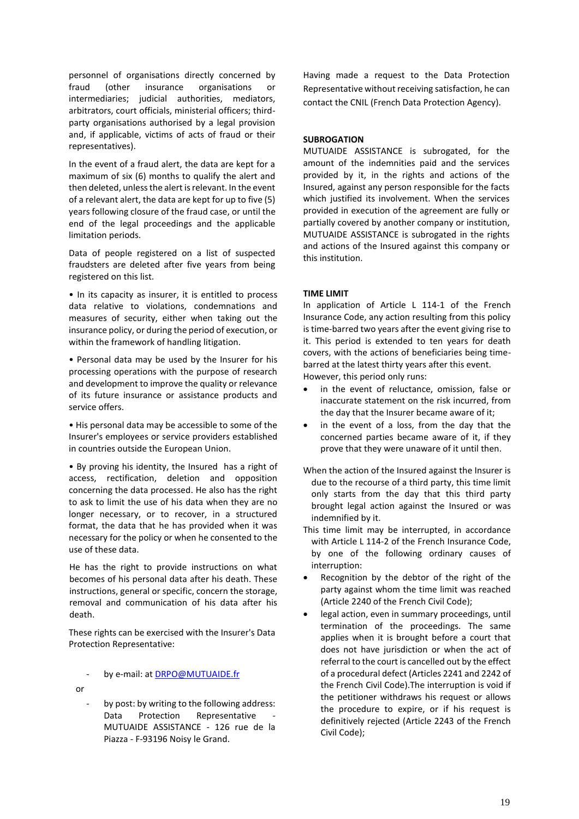personnel of organisations directly concerned by fraud (other insurance organisations or intermediaries; judicial authorities, mediators, arbitrators, court officials, ministerial officers; thirdparty organisations authorised by a legal provision and, if applicable, victims of acts of fraud or their representatives).

In the event of a fraud alert, the data are kept for a maximum of six (6) months to qualify the alert and then deleted, unless the alert is relevant. In the event of a relevant alert, the data are kept for up to five (5) years following closure of the fraud case, or until the end of the legal proceedings and the applicable limitation periods.

Data of people registered on a list of suspected fraudsters are deleted after five years from being registered on this list.

• In its capacity as insurer, it is entitled to process data relative to violations, condemnations and measures of security, either when taking out the insurance policy, or during the period of execution, or within the framework of handling litigation.

• Personal data may be used by the Insurer for his processing operations with the purpose of research and development to improve the quality or relevance of its future insurance or assistance products and service offers.

• His personal data may be accessible to some of the Insurer's employees or service providers established in countries outside the European Union.

• By proving his identity, the Insured has a right of access, rectification, deletion and opposition concerning the data processed. He also has the right to ask to limit the use of his data when they are no longer necessary, or to recover, in a structured format, the data that he has provided when it was necessary for the policy or when he consented to the use of these data.

He has the right to provide instructions on what becomes of his personal data after his death. These instructions, general or specific, concern the storage, removal and communication of his data after his death.

These rights can be exercised with the Insurer's Data Protection Representative:

by e-mail: a[t DRPO@MUTUAIDE.fr](mailto:DRPO@MUTUAIDE.fr)

or

by post: by writing to the following address: Data Protection Representative MUTUAIDE ASSISTANCE - 126 rue de la Piazza - F-93196 Noisy le Grand.

Having made a request to the Data Protection Representative without receiving satisfaction, he can contact the CNIL (French Data Protection Agency).

# **SUBROGATION**

MUTUAIDE ASSISTANCE is subrogated, for the amount of the indemnities paid and the services provided by it, in the rights and actions of the Insured, against any person responsible for the facts which justified its involvement. When the services provided in execution of the agreement are fully or partially covered by another company or institution, MUTUAIDE ASSISTANCE is subrogated in the rights and actions of the Insured against this company or this institution.

# **TIME LIMIT**

In application of Article L 114-1 of the French Insurance Code, any action resulting from this policy is time-barred two years after the event giving rise to it. This period is extended to ten years for death covers, with the actions of beneficiaries being timebarred at the latest thirty years after this event.

However, this period only runs:

- in the event of reluctance, omission, false or inaccurate statement on the risk incurred, from the day that the Insurer became aware of it;
- in the event of a loss, from the day that the concerned parties became aware of it, if they prove that they were unaware of it until then.
- When the action of the Insured against the Insurer is due to the recourse of a third party, this time limit only starts from the day that this third party brought legal action against the Insured or was indemnified by it.
- This time limit may be interrupted, in accordance with Article L 114-2 of the French Insurance Code, by one of the following ordinary causes of interruption:
- Recognition by the debtor of the right of the party against whom the time limit was reached (Article 2240 of the French Civil Code);
- legal action, even in summary proceedings, until termination of the proceedings. The same applies when it is brought before a court that does not have jurisdiction or when the act of referral to the court is cancelled out by the effect of a procedural defect (Articles 2241 and 2242 of the French Civil Code).The interruption is void if the petitioner withdraws his request or allows the procedure to expire, or if his request is definitively rejected (Article 2243 of the French Civil Code);